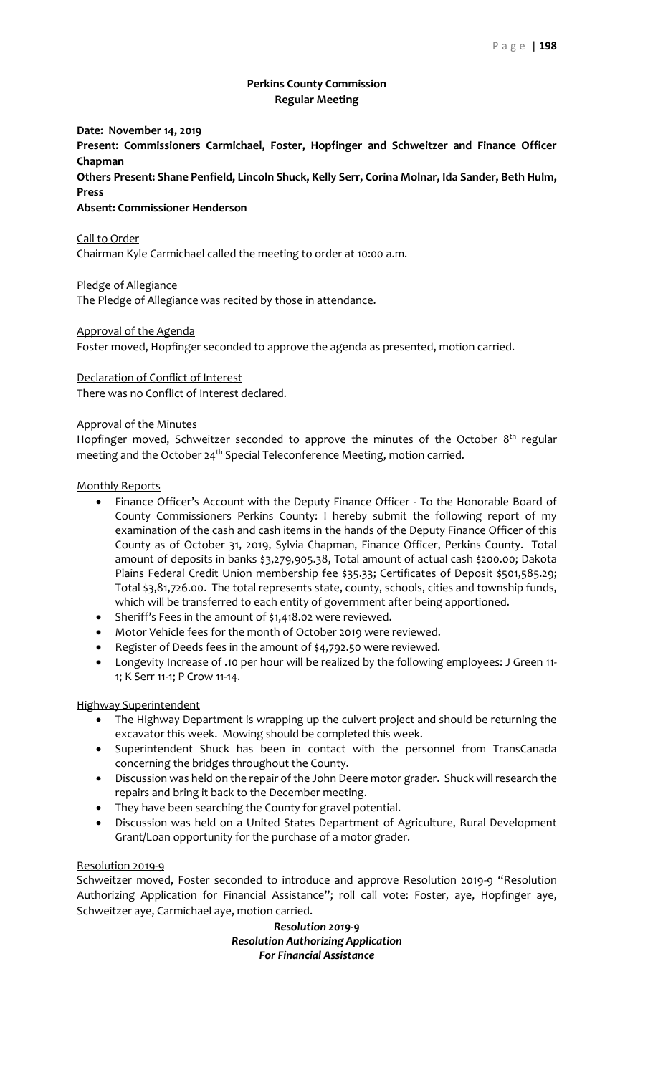# **Perkins County Commission Regular Meeting**

**Date: November 14, 2019**

**Present: Commissioners Carmichael, Foster, Hopfinger and Schweitzer and Finance Officer Chapman**

**Others Present: Shane Penfield, Lincoln Shuck, Kelly Serr, Corina Molnar, Ida Sander, Beth Hulm, Press**

## **Absent: Commissioner Henderson**

Call to Order

Chairman Kyle Carmichael called the meeting to order at 10:00 a.m.

Pledge of Allegiance

The Pledge of Allegiance was recited by those in attendance.

Approval of the Agenda

Foster moved, Hopfinger seconded to approve the agenda as presented, motion carried.

#### Declaration of Conflict of Interest

There was no Conflict of Interest declared.

#### Approval of the Minutes

Hopfinger moved, Schweitzer seconded to approve the minutes of the October 8<sup>th</sup> regular meeting and the October 24<sup>th</sup> Special Teleconference Meeting, motion carried.

#### Monthly Reports

- Finance Officer's Account with the Deputy Finance Officer To the Honorable Board of County Commissioners Perkins County: I hereby submit the following report of my examination of the cash and cash items in the hands of the Deputy Finance Officer of this County as of October 31, 2019, Sylvia Chapman, Finance Officer, Perkins County. Total amount of deposits in banks \$3,279,905.38, Total amount of actual cash \$200.00; Dakota Plains Federal Credit Union membership fee \$35.33; Certificates of Deposit \$501,585.29; Total \$3,81,726.00. The total represents state, county, schools, cities and township funds, which will be transferred to each entity of government after being apportioned.
- Sheriff's Fees in the amount of \$1,418.02 were reviewed.
- Motor Vehicle fees for the month of October 2019 were reviewed.
- Register of Deeds fees in the amount of \$4,792.50 were reviewed.
- Longevity Increase of .10 per hour will be realized by the following employees: J Green 11- 1; K Serr 11-1; P Crow 11-14.

### Highway Superintendent

- The Highway Department is wrapping up the culvert project and should be returning the excavator this week. Mowing should be completed this week.
- Superintendent Shuck has been in contact with the personnel from TransCanada concerning the bridges throughout the County.
- Discussion was held on the repair of the John Deere motor grader. Shuck will research the repairs and bring it back to the December meeting.
- They have been searching the County for gravel potential.
- Discussion was held on a United States Department of Agriculture, Rural Development Grant/Loan opportunity for the purchase of a motor grader.

#### Resolution 2019-9

Schweitzer moved, Foster seconded to introduce and approve Resolution 2019-9 "Resolution Authorizing Application for Financial Assistance"; roll call vote: Foster, aye, Hopfinger aye, Schweitzer aye, Carmichael aye, motion carried.

> *Resolution 2019-9 Resolution Authorizing Application For Financial Assistance*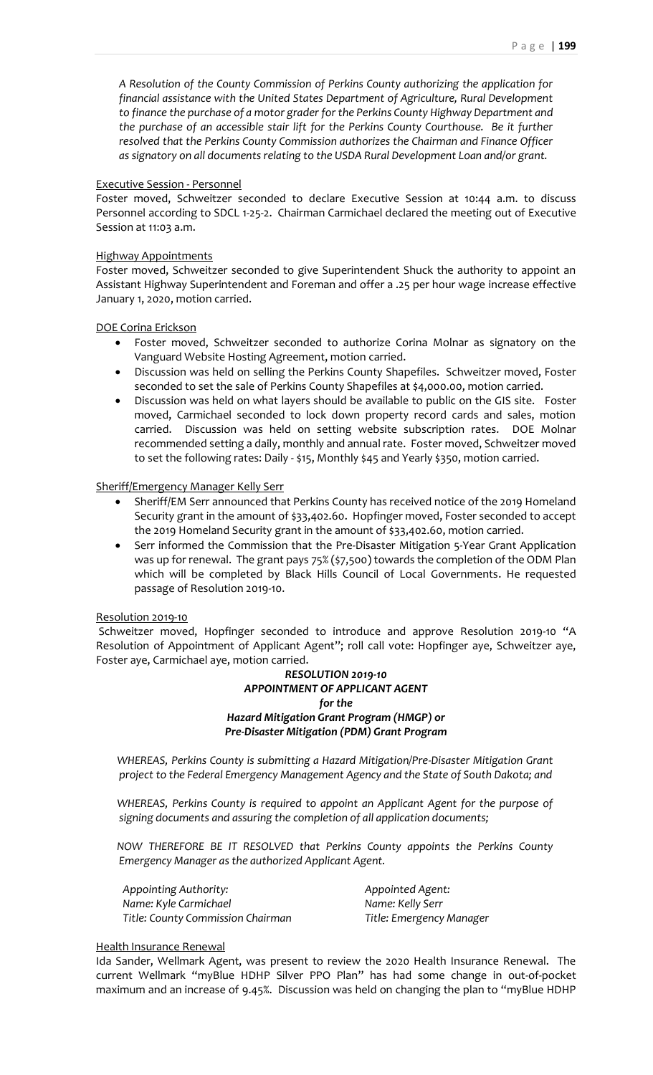*A Resolution of the County Commission of Perkins County authorizing the application for financial assistance with the United States Department of Agriculture, Rural Development to finance the purchase of a motor grader for the Perkins County Highway Department and the purchase of an accessible stair lift for the Perkins County Courthouse. Be it further resolved that the Perkins County Commission authorizes the Chairman and Finance Officer as signatory on all documents relating to the USDA Rural Development Loan and/or grant.*

# Executive Session - Personnel

Foster moved, Schweitzer seconded to declare Executive Session at 10:44 a.m. to discuss Personnel according to SDCL 1-25-2. Chairman Carmichael declared the meeting out of Executive Session at 11:03 a.m.

### Highway Appointments

Foster moved, Schweitzer seconded to give Superintendent Shuck the authority to appoint an Assistant Highway Superintendent and Foreman and offer a .25 per hour wage increase effective January 1, 2020, motion carried.

## DOE Corina Erickson

- Foster moved, Schweitzer seconded to authorize Corina Molnar as signatory on the Vanguard Website Hosting Agreement, motion carried.
- Discussion was held on selling the Perkins County Shapefiles. Schweitzer moved, Foster seconded to set the sale of Perkins County Shapefiles at \$4,000.00, motion carried.
- Discussion was held on what layers should be available to public on the GIS site. Foster moved, Carmichael seconded to lock down property record cards and sales, motion carried. Discussion was held on setting website subscription rates. DOE Molnar recommended setting a daily, monthly and annual rate. Foster moved, Schweitzer moved to set the following rates: Daily - \$15, Monthly \$45 and Yearly \$350, motion carried.

## Sheriff/Emergency Manager Kelly Serr

- Sheriff/EM Serr announced that Perkins County has received notice of the 2019 Homeland Security grant in the amount of \$33,402.60. Hopfinger moved, Foster seconded to accept the 2019 Homeland Security grant in the amount of \$33,402.60, motion carried.
- Serr informed the Commission that the Pre-Disaster Mitigation 5-Year Grant Application was up for renewal. The grant pays 75% (\$7,500) towards the completion of the ODM Plan which will be completed by Black Hills Council of Local Governments. He requested passage of Resolution 2019-10.

## Resolution 2019-10

Schweitzer moved, Hopfinger seconded to introduce and approve Resolution 2019-10 "A Resolution of Appointment of Applicant Agent"; roll call vote: Hopfinger aye, Schweitzer aye, Foster aye, Carmichael aye, motion carried.

# *RESOLUTION 2019-10 APPOINTMENT OF APPLICANT AGENT for the Hazard Mitigation Grant Program (HMGP) or Pre-Disaster Mitigation (PDM) Grant Program*

*WHEREAS, Perkins County is submitting a Hazard Mitigation/Pre-Disaster Mitigation Grant project to the Federal Emergency Management Agency and the State of South Dakota; and*

*WHEREAS, Perkins County is required to appoint an Applicant Agent for the purpose of signing documents and assuring the completion of all application documents;*

*NOW THEREFORE BE IT RESOLVED that Perkins County appoints the Perkins County Emergency Manager as the authorized Applicant Agent.*

*Appointing Authority: Appointed Agent: Name: Kyle Carmichael Name: Kelly Serr Title: County Commission Chairman Title: Emergency Manager*

## Health Insurance Renewal

Ida Sander, Wellmark Agent, was present to review the 2020 Health Insurance Renewal. The current Wellmark "myBlue HDHP Silver PPO Plan" has had some change in out-of-pocket maximum and an increase of 9.45%. Discussion was held on changing the plan to "myBlue HDHP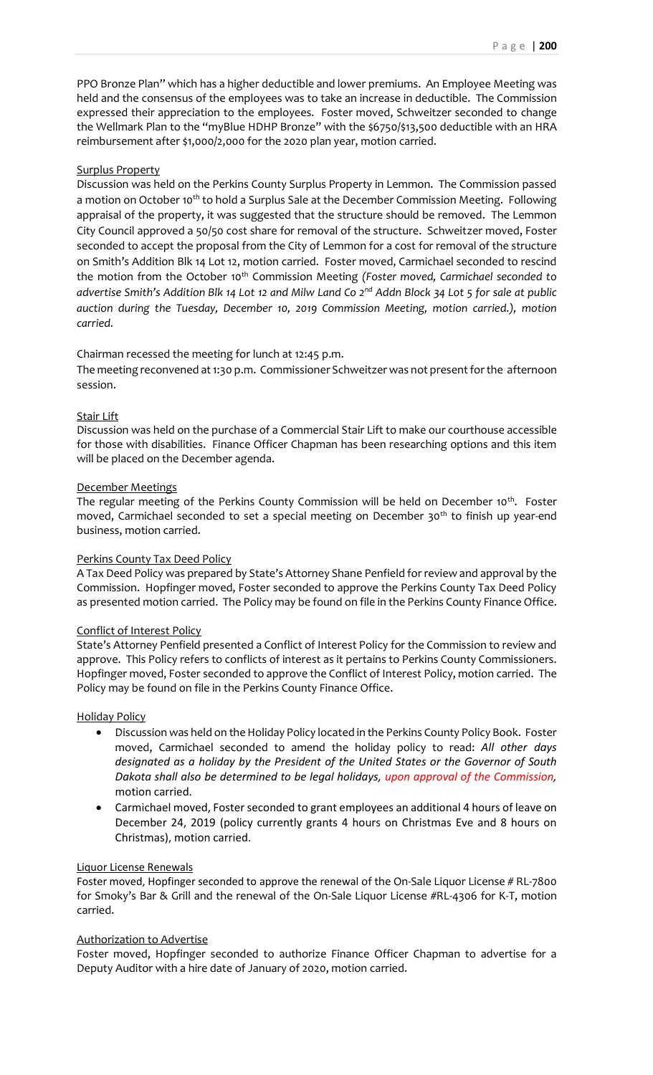PPO Bronze Plan" which has a higher deductible and lower premiums. An Employee Meeting was held and the consensus of the employees was to take an increase in deductible. The Commission expressed their appreciation to the employees. Foster moved, Schweitzer seconded to change the Wellmark Plan to the "myBlue HDHP Bronze" with the \$6750/\$13,500 deductible with an HRA reimbursement after \$1,000/2,000 for the 2020 plan year, motion carried.

### Surplus Property

Discussion was held on the Perkins County Surplus Property in Lemmon. The Commission passed a motion on October 10<sup>th</sup> to hold a Surplus Sale at the December Commission Meeting. Following appraisal of the property, it was suggested that the structure should be removed. The Lemmon City Council approved a 50/50 cost share for removal of the structure. Schweitzer moved, Foster seconded to accept the proposal from the City of Lemmon for a cost for removal of the structure on Smith's Addition Blk 14 Lot 12, motion carried. Foster moved, Carmichael seconded to rescind the motion from the October 10<sup>th</sup> Commission Meeting *(Foster moved, Carmichael seconded to advertise Smith's Addition Blk 14 Lot 12 and Milw Land Co 2nd Addn Block 34 Lot 5 for sale at public auction during the Tuesday, December 10, 2019 Commission Meeting, motion carried.), motion carried.*

### Chairman recessed the meeting for lunch at 12:45 p.m.

The meeting reconvened at 1:30 p.m. Commissioner Schweitzer was not present for the afternoon session.

### Stair Lift

Discussion was held on the purchase of a Commercial Stair Lift to make our courthouse accessible for those with disabilities. Finance Officer Chapman has been researching options and this item will be placed on the December agenda.

#### December Meetings

The regular meeting of the Perkins County Commission will be held on December 10<sup>th</sup>. Foster moved, Carmichael seconded to set a special meeting on December 30<sup>th</sup> to finish up year-end business, motion carried.

#### Perkins County Tax Deed Policy

A Tax Deed Policy was prepared by State's Attorney Shane Penfield for review and approval by the Commission. Hopfinger moved, Foster seconded to approve the Perkins County Tax Deed Policy as presented motion carried. The Policy may be found on file in the Perkins County Finance Office.

## Conflict of Interest Policy

State's Attorney Penfield presented a Conflict of Interest Policy for the Commission to review and approve. This Policy refers to conflicts of interest as it pertains to Perkins County Commissioners. Hopfinger moved, Foster seconded to approve the Conflict of Interest Policy, motion carried. The Policy may be found on file in the Perkins County Finance Office.

#### Holiday Policy

- Discussion was held on the Holiday Policy located in the Perkins County Policy Book. Foster moved, Carmichael seconded to amend the holiday policy to read: *All other days designated as a holiday by the President of the United States or the Governor of South Dakota shall also be determined to be legal holidays, upon approval of the Commission,*  motion carried.
- Carmichael moved, Foster seconded to grant employees an additional 4 hours of leave on December 24, 2019 (policy currently grants 4 hours on Christmas Eve and 8 hours on Christmas), motion carried.

#### Liquor License Renewals

Foster moved, Hopfinger seconded to approve the renewal of the On-Sale Liquor License # RL-7800 for Smoky's Bar & Grill and the renewal of the On-Sale Liquor License #RL-4306 for K-T, motion carried.

#### Authorization to Advertise

Foster moved, Hopfinger seconded to authorize Finance Officer Chapman to advertise for a Deputy Auditor with a hire date of January of 2020, motion carried.